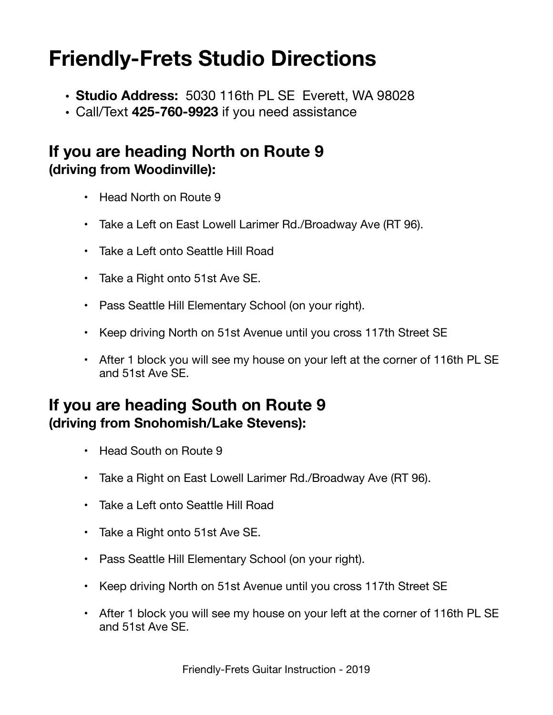# **Friendly-Frets Studio Directions**

- **• Studio Address:** 5030 116th PL SE Everett, WA 98028
- Call/Text **425-760-9923** if you need assistance

#### **If you are heading North on Route 9 (driving from Woodinville):**

- Head North on Route 9
- Take a Left on East Lowell Larimer Rd./Broadway Ave (RT 96).
- Take a Left onto Seattle Hill Road
- Take a Right onto 51st Ave SE.
- Pass Seattle Hill Elementary School (on your right).
- Keep driving North on 51st Avenue until you cross 117th Street SE
- After 1 block you will see my house on your left at the corner of 116th PL SE and 51st Ave SE.

#### **If you are heading South on Route 9 (driving from Snohomish/Lake Stevens):**

- Head South on Route 9
- Take a Right on East Lowell Larimer Rd./Broadway Ave (RT 96).
- Take a Left onto Seattle Hill Road
- Take a Right onto 51st Ave SE.
- Pass Seattle Hill Elementary School (on your right).
- Keep driving North on 51st Avenue until you cross 117th Street SE
- After 1 block you will see my house on your left at the corner of 116th PL SE and 51st Ave SE.